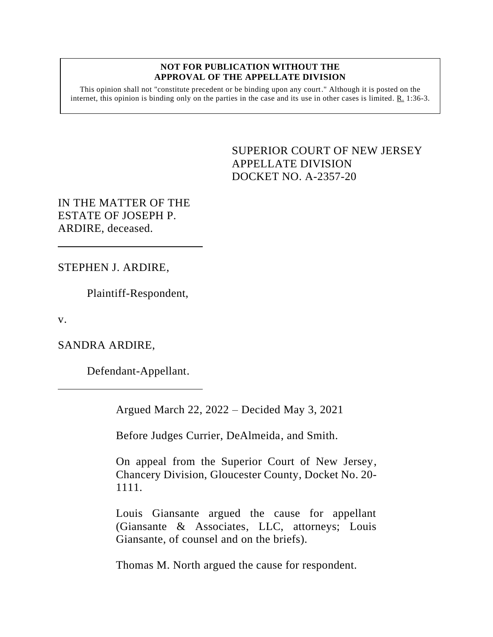## **NOT FOR PUBLICATION WITHOUT THE APPROVAL OF THE APPELLATE DIVISION**

This opinion shall not "constitute precedent or be binding upon any court." Although it is posted on the internet, this opinion is binding only on the parties in the case and its use in other cases is limited.  $R_1$  1:36-3.

> <span id="page-0-0"></span>SUPERIOR COURT OF NEW JERSEY APPELLATE DIVISION DOCKET NO. A-2357-20

IN THE MATTER OF THE ESTATE OF JOSEPH P. ARDIRE, deceased.

STEPHEN J. ARDIRE,

Plaintiff-Respondent,

v.

SANDRA ARDIRE,

Defendant-Appellant.

Argued March 22, 2022 – Decided May 3, 2021

Before Judges Currier, DeAlmeida, and Smith.

On appeal from the Superior Court of New Jersey, Chancery Division, Gloucester County, Docket No. 20- 1111.

Louis Giansante argued the cause for appellant (Giansante & Associates, LLC, attorneys; Louis Giansante, of counsel and on the briefs).

Thomas M. North argued the cause for respondent.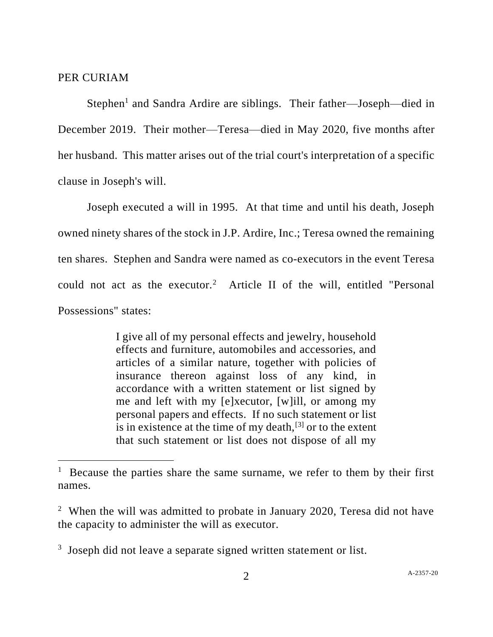## PER CURIAM

Stephen<sup>1</sup> and Sandra Ardire are siblings. Their father—Joseph—died in December 2019. Their mother—Teresa—died in May 2020, five months after her husband. This matter arises out of the trial court's interpretation of a specific clause in Joseph's will.

Joseph executed a will in 1995. At that time and until his death, Joseph owned ninety shares of the stock in J.P. Ardire, Inc.; Teresa owned the remaining ten shares. Stephen and Sandra were named as co-executors in the event Teresa could not act as the executor.<sup>2</sup> Article II of the will, entitled "Personal Possessions" states:

> I give all of my personal effects and jewelry, household effects and furniture, automobiles and accessories, and articles of a similar nature, together with policies of insurance thereon against loss of any kind, in accordance with a written statement or list signed by me and left with my [e]xecutor, [w]ill, or among my personal papers and effects. If no such statement or list is in existence at the time of my death, $[3]$  or to the extent that such statement or list does not dispose of all my

<sup>&</sup>lt;sup>1</sup> Because the parties share the same surname, we refer to them by their first names.

<sup>&</sup>lt;sup>2</sup> When the will was admitted to probate in January 2020, Teresa did not have the capacity to administer the will as executor.

<sup>&</sup>lt;sup>3</sup> Joseph did not leave a separate signed written statement or list.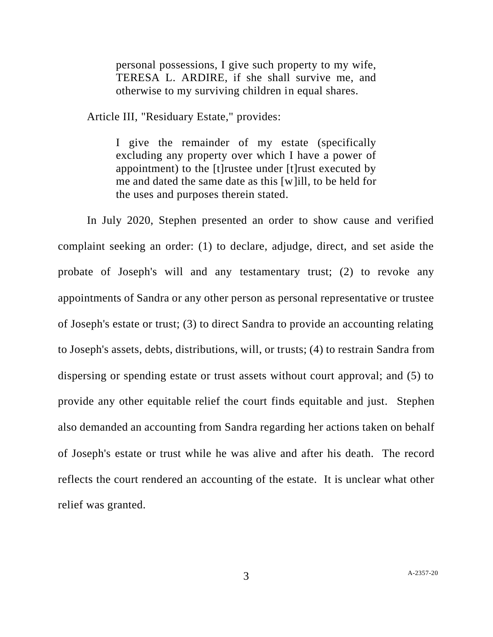personal possessions, I give such property to my wife, TERESA L. ARDIRE, if she shall survive me, and otherwise to my surviving children in equal shares.

Article III, "Residuary Estate," provides:

I give the remainder of my estate (specifically excluding any property over which I have a power of appointment) to the [t]rustee under [t]rust executed by me and dated the same date as this [w]ill, to be held for the uses and purposes therein stated.

In July 2020, Stephen presented an order to show cause and verified complaint seeking an order: (1) to declare, adjudge, direct, and set aside the probate of Joseph's will and any testamentary trust; (2) to revoke any appointments of Sandra or any other person as personal representative or trustee of Joseph's estate or trust; (3) to direct Sandra to provide an accounting relating to Joseph's assets, debts, distributions, will, or trusts; (4) to restrain Sandra from dispersing or spending estate or trust assets without court approval; and (5) to provide any other equitable relief the court finds equitable and just. Stephen also demanded an accounting from Sandra regarding her actions taken on behalf of Joseph's estate or trust while he was alive and after his death. The record reflects the court rendered an accounting of the estate. It is unclear what other relief was granted.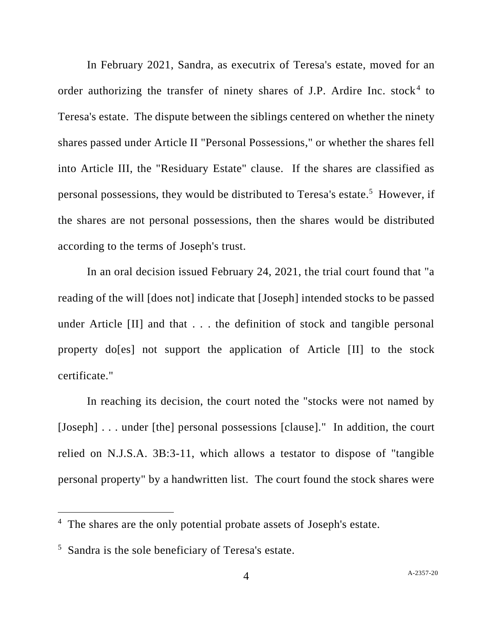In February 2021, Sandra, as executrix of Teresa's estate, moved for an order authorizing the transfer of ninety shares of J.P. Ardire Inc. stock<sup>4</sup> to Teresa's estate. The dispute between the siblings centered on whether the ninety shares passed under Article II "Personal Possessions," or whether the shares fell into Article III, the "Residuary Estate" clause. If the shares are classified as personal possessions, they would be distributed to Teresa's estate.<sup>5</sup> However, if the shares are not personal possessions, then the shares would be distributed according to the terms of Joseph's trust.

In an oral decision issued February 24, 2021, the trial court found that "a reading of the will [does not] indicate that [Joseph] intended stocks to be passed under Article [II] and that . . . the definition of stock and tangible personal property do[es] not support the application of Article [II] to the stock certificate."

In reaching its decision, the court noted the "stocks were not named by [Joseph] . . . under [the] personal possessions [clause]." In addition, the court relied on N.J.S.A. 3B:3-11, which allows a testator to dispose of "tangible personal property" by a handwritten list. The court found the stock shares were

<sup>&</sup>lt;sup>4</sup> The shares are the only potential probate assets of Joseph's estate.

<sup>5</sup> Sandra is the sole beneficiary of Teresa's estate.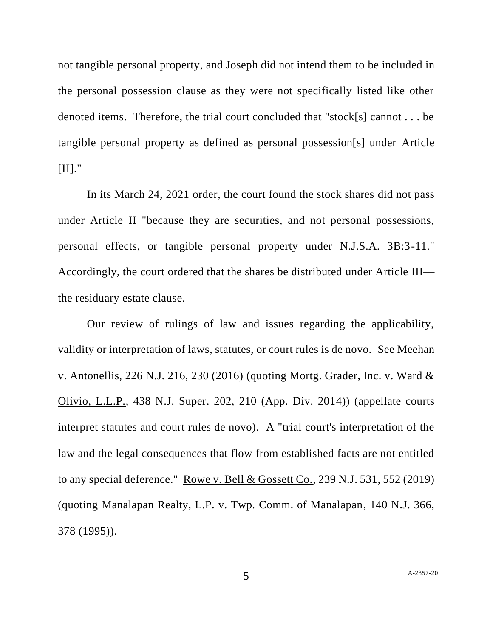not tangible personal property, and Joseph did not intend them to be included in the personal possession clause as they were not specifically listed like other denoted items. Therefore, the trial court concluded that "stock[s] cannot . . . be tangible personal property as defined as personal possession[s] under Article  $[II].$ "

In its March 24, 2021 order, the court found the stock shares did not pass under Article II "because they are securities, and not personal possessions, personal effects, or tangible personal property under N.J.S.A. 3B:3-11." Accordingly, the court ordered that the shares be distributed under Article III the residuary estate clause.

Our review of rulings of law and issues regarding the applicability, validity or interpretation of laws, statutes, or court rules is de novo. See Meehan v. Antonellis, 226 N.J. 216, 230 (2016) (quoting Mortg. Grader, Inc. v. Ward & Olivio, L.L.P., 438 N.J. Super. 202, 210 (App. Div. 2014)) (appellate courts interpret statutes and court rules de novo). A "trial court's interpretation of the law and the legal consequences that flow from established facts are not entitled to any special deference." Rowe v. Bell & Gossett Co., 239 N.J. 531, 552 (2019) (quoting Manalapan Realty, L.P. v. Twp. Comm. of Manalapan, 140 N.J. 366, 378 (1995)).

5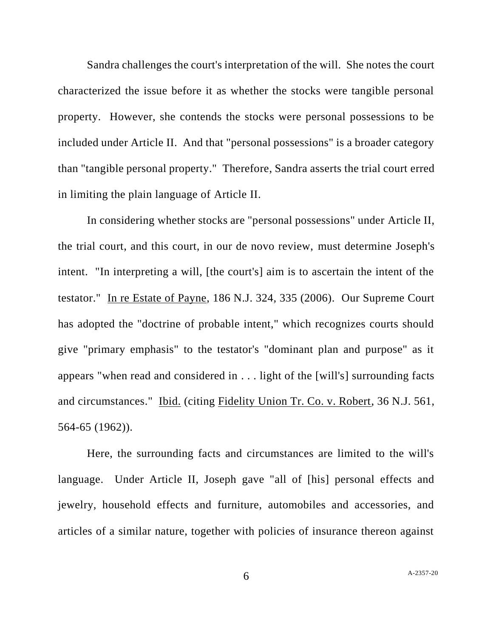Sandra challenges the court's interpretation of the will. She notes the court characterized the issue before it as whether the stocks were tangible personal property. However, she contends the stocks were personal possessions to be included under Article II. And that "personal possessions" is a broader category than "tangible personal property." Therefore, Sandra asserts the trial court erred in limiting the plain language of Article II.

In considering whether stocks are "personal possessions" under Article II, the trial court, and this court, in our de novo review, must determine Joseph's intent. "In interpreting a will, [the court's] aim is to ascertain the intent of the testator." In re Estate of Payne, 186 N.J. 324, 335 (2006). Our Supreme Court has adopted the "doctrine of probable intent," which recognizes courts should give "primary emphasis" to the testator's "dominant plan and purpose" as it appears "when read and considered in . . . light of the [will's] surrounding facts and circumstances." Ibid. (citing Fidelity Union Tr. Co. v. Robert, 36 N.J. 561, 564-65 (1962)).

Here, the surrounding facts and circumstances are limited to the will's language. Under Article II, Joseph gave "all of [his] personal effects and jewelry, household effects and furniture, automobiles and accessories, and articles of a similar nature, together with policies of insurance thereon against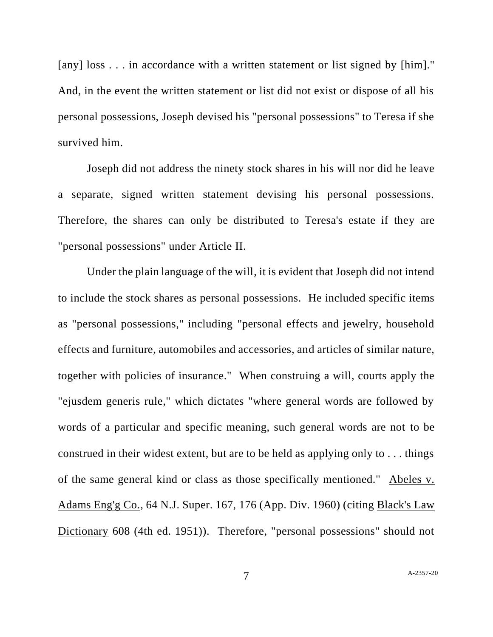[any] loss . . . in accordance with a written statement or list signed by [him]." And, in the event the written statement or list did not exist or dispose of all his personal possessions, Joseph devised his "personal possessions" to Teresa if she survived him.

Joseph did not address the ninety stock shares in his will nor did he leave a separate, signed written statement devising his personal possessions. Therefore, the shares can only be distributed to Teresa's estate if they are "personal possessions" under Article II.

Under the plain language of the will, it is evident that Joseph did not intend to include the stock shares as personal possessions. He included specific items as "personal possessions," including "personal effects and jewelry, household effects and furniture, automobiles and accessories, and articles of similar nature, together with policies of insurance." When construing a will, courts apply the "ejusdem generis rule," which dictates "where general words are followed by words of a particular and specific meaning, such general words are not to be construed in their widest extent, but are to be held as applying only to . . . things of the same general kind or class as those specifically mentioned." Abeles v. Adams Eng'g Co., 64 N.J. Super. 167, 176 (App. Div. 1960) (citing Black's Law Dictionary 608 (4th ed. 1951)). Therefore, "personal possessions" should not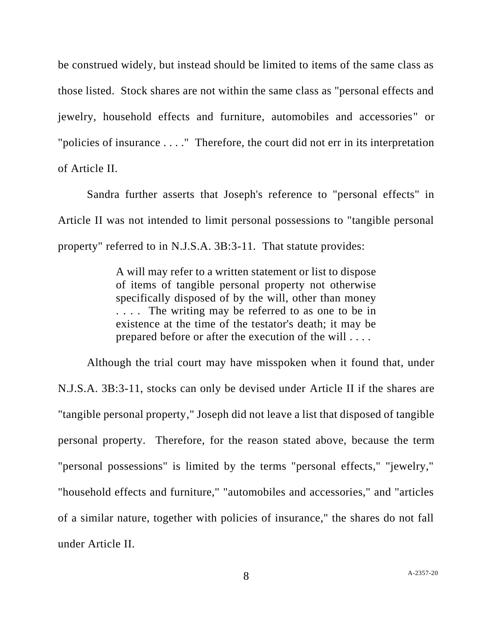be construed widely, but instead should be limited to items of the same class as those listed. Stock shares are not within the same class as "personal effects and jewelry, household effects and furniture, automobiles and accessories" or "policies of insurance . . . ." Therefore, the court did not err in its interpretation of Article II.

Sandra further asserts that Joseph's reference to "personal effects" in Article II was not intended to limit personal possessions to "tangible personal property" referred to in N.J.S.A. 3B:3-11. That statute provides:

> A will may refer to a written statement or list to dispose of items of tangible personal property not otherwise specifically disposed of by the will, other than money . . . . The writing may be referred to as one to be in existence at the time of the testator's death; it may be prepared before or after the execution of the will . . . .

Although the trial court may have misspoken when it found that, under N.J.S.A. 3B:3-11, stocks can only be devised under Article II if the shares are "tangible personal property," Joseph did not leave a list that disposed of tangible personal property. Therefore, for the reason stated above, because the term "personal possessions" is limited by the terms "personal effects," "jewelry," "household effects and furniture," "automobiles and accessories," and "articles of a similar nature, together with policies of insurance," the shares do not fall under Article II.